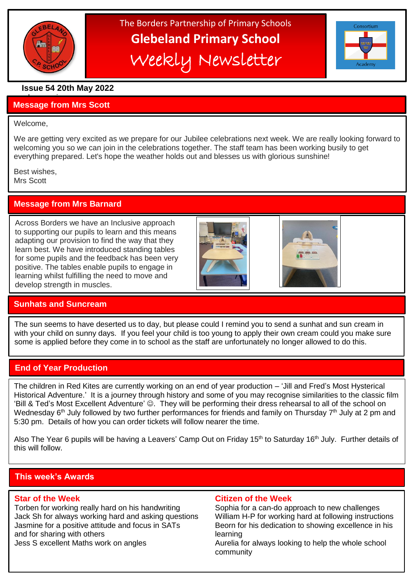

# The Borders Partnership of Primary Schools **Glebeland Primary School** Weekly Newsletter



# **Issue 54 20th May 2022**

#### a bumper issues in the second second in the second second second in the second second second in the second second second second second second second second second second second second second second second second second sec **Message from Mrs Scott**

#### Welcome,

l

We are getting very excited as we prepare for our Jubilee celebrations next week. We are really looking forward to welcoming you so we can join in the celebrations together. The staff team has been working busily to get everything prepared. Let's hope the weather holds out and blesses us with glorious sunshine!

Best wishes, Mrs Scott

# **Message from Mrs Barnard**

Across Borders we have an Inclusive approach to supporting our pupils to learn and this means adapting our provision to find the way that they learn best. We have introduced standing tables for some pupils and the feedback has been very positive. The tables enable pupils to engage in learning whilst fulfilling the need to move and develop strength in muscles.





# **Sunhats and Suncream**

The sun seems to have deserted us to day, but please could I remind you to send a sunhat and sun cream in with your child on sunny days. If you feel your child is too young to apply their own cream could you make sure some is applied before they come in to school as the staff are unfortunately no longer allowed to do this.

# **End of Year Production**

The children in Red Kites are currently working on an end of year production – 'Jill and Fred's Most Hysterical Historical Adventure.' It is a journey through history and some of you may recognise similarities to the classic film 'Bill & Ted's Most Excellent Adventure' . They will be performing their dress rehearsal to all of the school on Wednesday 6<sup>th</sup> July followed by two further performances for friends and family on Thursday 7<sup>th</sup> July at 2 pm and 5:30 pm. Details of how you can order tickets will follow nearer the time.

Also The Year 6 pupils will be having a Leavers' Camp Out on Friday 15<sup>th</sup> to Saturday 16<sup>th</sup> July. Further details of this will follow.

# **This week's Awards**

Torben for working really hard on his handwriting Sophia for a can-do approach to new challenges Jack Sh for always working hard and asking questions William H-P for working hard at following instructions Jasmine for a positive attitude and focus in SATs Beorn for his dedication to showing excellence in his and for sharing with others learning learning Jess S excellent Maths work on angles Aurelia for always looking to help the whole school

# **Star of the Week Citizen of the Week**

community